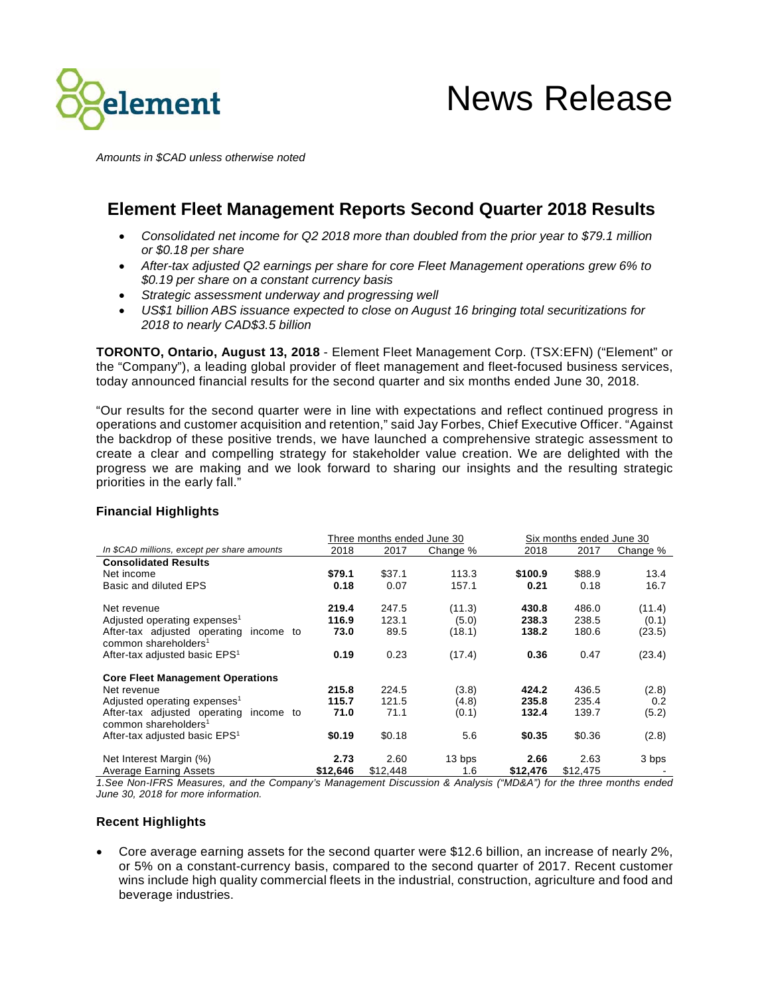

News Release

*Amounts in \$CAD unless otherwise noted*

# **Element Fleet Management Reports Second Quarter 2018 Results**

- *Consolidated net income for Q2 2018 more than doubled from the prior year to \$79.1 million or \$0.18 per share*
- *After-tax adjusted Q2 earnings per share for core Fleet Management operations grew 6% to \$0.19 per share on a constant currency basis*
- *Strategic assessment underway and progressing well*
- *US\$1 billion ABS issuance expected to close on August 16 bringing total securitizations for 2018 to nearly CAD\$3.5 billion*

**TORONTO, Ontario, August 13, 2018** - Element Fleet Management Corp. (TSX:EFN) ("Element" or the "Company"), a leading global provider of fleet management and fleet-focused business services, today announced financial results for the second quarter and six months ended June 30, 2018.

"Our results for the second quarter were in line with expectations and reflect continued progress in operations and customer acquisition and retention," said Jay Forbes, Chief Executive Officer. "Against the backdrop of these positive trends, we have launched a comprehensive strategic assessment to create a clear and compelling strategy for stakeholder value creation. We are delighted with the progress we are making and we look forward to sharing our insights and the resulting strategic priorities in the early fall."

## **Financial Highlights**

|                                                                               | Three months ended June 30 |          |          |          | Six months ended June 30 |          |  |
|-------------------------------------------------------------------------------|----------------------------|----------|----------|----------|--------------------------|----------|--|
| In \$CAD millions, except per share amounts                                   | 2018                       | 2017     | Change % | 2018     | 2017                     | Change % |  |
| <b>Consolidated Results</b>                                                   |                            |          |          |          |                          |          |  |
| Net income                                                                    | \$79.1                     | \$37.1   | 113.3    | \$100.9  | \$88.9                   | 13.4     |  |
| Basic and diluted EPS                                                         | 0.18                       | 0.07     | 157.1    | 0.21     | 0.18                     | 16.7     |  |
| Net revenue                                                                   | 219.4                      | 247.5    | (11.3)   | 430.8    | 486.0                    | (11.4)   |  |
| Adjusted operating expenses <sup>1</sup>                                      | 116.9                      | 123.1    | (5.0)    | 238.3    | 238.5                    | (0.1)    |  |
| After-tax adjusted operating income to<br>common shareholders <sup>1</sup>    | 73.0                       | 89.5     | (18.1)   | 138.2    | 180.6                    | (23.5)   |  |
| After-tax adjusted basic EPS <sup>1</sup>                                     | 0.19                       | 0.23     | (17.4)   | 0.36     | 0.47                     | (23.4)   |  |
| <b>Core Fleet Management Operations</b>                                       |                            |          |          |          |                          |          |  |
| Net revenue                                                                   | 215.8                      | 224.5    | (3.8)    | 424.2    | 436.5                    | (2.8)    |  |
| Adjusted operating expenses <sup>1</sup>                                      | 115.7                      | 121.5    | (4.8)    | 235.8    | 235.4                    | 0.2      |  |
| After-tax adjusted operating<br>income to<br>common shareholders <sup>1</sup> | 71.0                       | 71.1     | (0.1)    | 132.4    | 139.7                    | (5.2)    |  |
| After-tax adjusted basic EPS <sup>1</sup>                                     | \$0.19                     | \$0.18   | 5.6      | \$0.35   | \$0.36                   | (2.8)    |  |
| Net Interest Margin (%)                                                       | 2.73                       | 2.60     | 13 bps   | 2.66     | 2.63                     | 3 bps    |  |
| <b>Average Earning Assets</b>                                                 | \$12,646                   | \$12,448 | 1.6      | \$12,476 | \$12,475                 |          |  |

*1.See Non-IFRS Measures, and the Company's Management Discussion & Analysis ("MD&A") for the three months ended June 30, 2018 for more information.* 

## **Recent Highlights**

• Core average earning assets for the second quarter were \$12.6 billion, an increase of nearly 2%, or 5% on a constant-currency basis, compared to the second quarter of 2017. Recent customer wins include high quality commercial fleets in the industrial, construction, agriculture and food and beverage industries.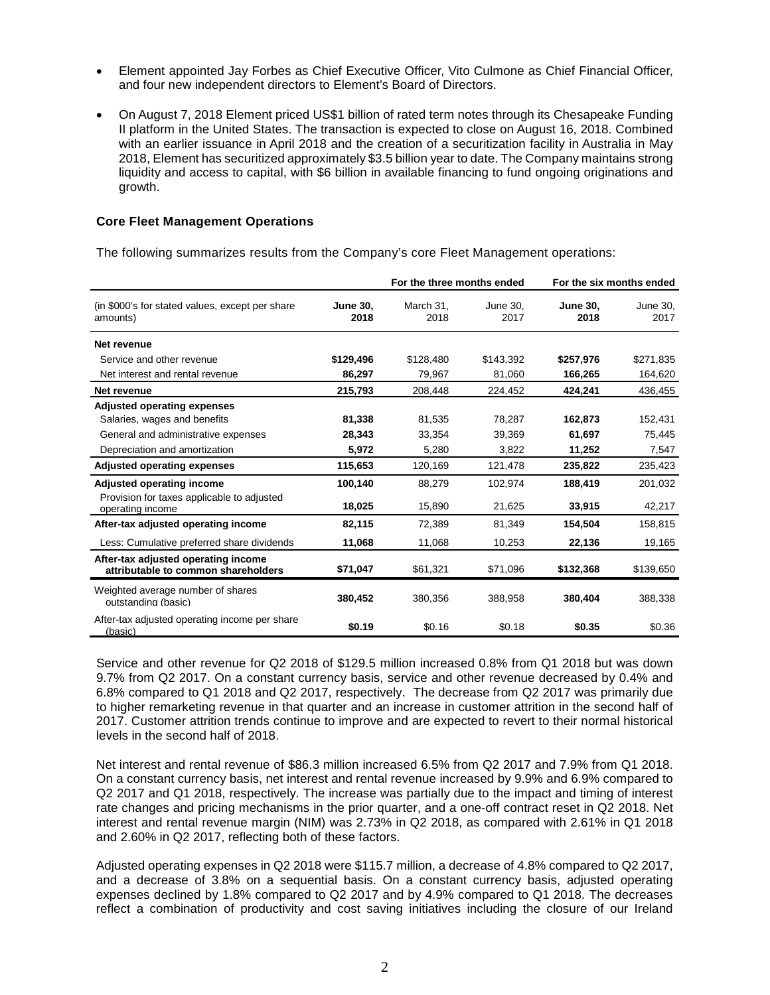- Element appointed Jay Forbes as Chief Executive Officer, Vito Culmone as Chief Financial Officer, and four new independent directors to Element's Board of Directors.
- On August 7, 2018 Element priced US\$1 billion of rated term notes through its Chesapeake Funding II platform in the United States. The transaction is expected to close on August 16, 2018. Combined with an earlier issuance in April 2018 and the creation of a securitization facility in Australia in May 2018, Element has securitized approximately \$3.5 billion year to date. The Company maintains strong liquidity and access to capital, with \$6 billion in available financing to fund ongoing originations and growth.

# **Core Fleet Management Operations**

The following summarizes results from the Company's core Fleet Management operations:

|                                                                            |                         | For the three months ended |                  | For the six months ended |                  |
|----------------------------------------------------------------------------|-------------------------|----------------------------|------------------|--------------------------|------------------|
| (in \$000's for stated values, except per share<br>amounts)                | <b>June 30.</b><br>2018 | March 31.<br>2018          | June 30.<br>2017 | <b>June 30.</b><br>2018  | June 30,<br>2017 |
| Net revenue                                                                |                         |                            |                  |                          |                  |
| Service and other revenue                                                  | \$129,496               | \$128,480                  | \$143,392        | \$257,976                | \$271,835        |
| Net interest and rental revenue                                            | 86,297                  | 79,967                     | 81,060           | 166,265                  | 164,620          |
| Net revenue                                                                | 215,793                 | 208,448                    | 224,452          | 424,241                  | 436,455          |
| <b>Adjusted operating expenses</b>                                         |                         |                            |                  |                          |                  |
| Salaries, wages and benefits                                               | 81,338                  | 81.535                     | 78,287           | 162,873                  | 152,431          |
| General and administrative expenses                                        | 28,343                  | 33,354                     | 39,369           | 61,697                   | 75,445           |
| Depreciation and amortization                                              | 5,972                   | 5,280                      | 3,822            | 11,252                   | 7,547            |
| <b>Adjusted operating expenses</b>                                         | 115,653                 | 120,169                    | 121,478          | 235,822                  | 235,423          |
| Adjusted operating income                                                  | 100,140                 | 88,279                     | 102,974          | 188,419                  | 201,032          |
| Provision for taxes applicable to adjusted<br>operating income             | 18,025                  | 15,890                     | 21,625           | 33,915                   | 42,217           |
| After-tax adjusted operating income                                        | 82,115                  | 72,389                     | 81,349           | 154,504                  | 158,815          |
| Less: Cumulative preferred share dividends                                 | 11,068                  | 11,068                     | 10,253           | 22,136                   | 19,165           |
| After-tax adjusted operating income<br>attributable to common shareholders | \$71,047                | \$61,321                   | \$71,096         | \$132,368                | \$139,650        |
| Weighted average number of shares<br>outstanding (basic)                   | 380,452                 | 380,356                    | 388,958          | 380,404                  | 388,338          |
| After-tax adjusted operating income per share<br>(basic)                   | \$0.19                  | \$0.16                     | \$0.18           | \$0.35                   | \$0.36           |

Service and other revenue for Q2 2018 of \$129.5 million increased 0.8% from Q1 2018 but was down 9.7% from Q2 2017. On a constant currency basis, service and other revenue decreased by 0.4% and 6.8% compared to Q1 2018 and Q2 2017, respectively. The decrease from Q2 2017 was primarily due to higher remarketing revenue in that quarter and an increase in customer attrition in the second half of 2017. Customer attrition trends continue to improve and are expected to revert to their normal historical levels in the second half of 2018.

Net interest and rental revenue of \$86.3 million increased 6.5% from Q2 2017 and 7.9% from Q1 2018. On a constant currency basis, net interest and rental revenue increased by 9.9% and 6.9% compared to Q2 2017 and Q1 2018, respectively. The increase was partially due to the impact and timing of interest rate changes and pricing mechanisms in the prior quarter, and a one-off contract reset in Q2 2018. Net interest and rental revenue margin (NIM) was 2.73% in Q2 2018, as compared with 2.61% in Q1 2018 and 2.60% in Q2 2017, reflecting both of these factors.

Adjusted operating expenses in Q2 2018 were \$115.7 million, a decrease of 4.8% compared to Q2 2017, and a decrease of 3.8% on a sequential basis. On a constant currency basis, adjusted operating expenses declined by 1.8% compared to Q2 2017 and by 4.9% compared to Q1 2018. The decreases reflect a combination of productivity and cost saving initiatives including the closure of our Ireland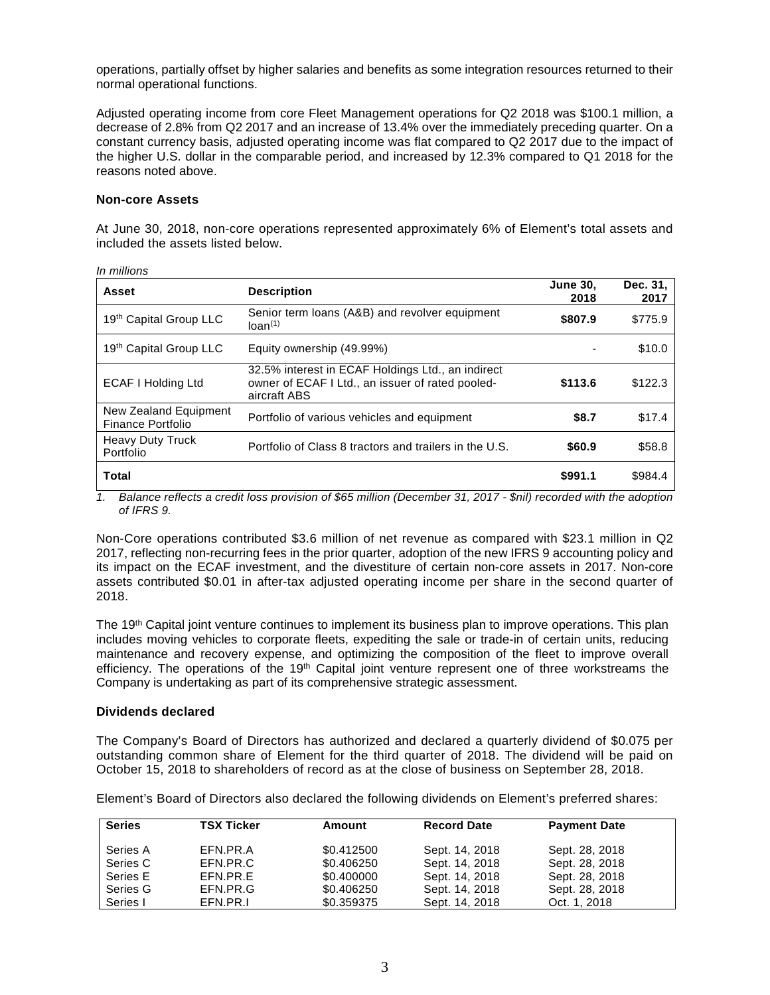operations, partially offset by higher salaries and benefits as some integration resources returned to their normal operational functions.

Adjusted operating income from core Fleet Management operations for Q2 2018 was \$100.1 million, a decrease of 2.8% from Q2 2017 and an increase of 13.4% over the immediately preceding quarter. On a constant currency basis, adjusted operating income was flat compared to Q2 2017 due to the impact of the higher U.S. dollar in the comparable period, and increased by 12.3% compared to Q1 2018 for the reasons noted above.

## **Non-core Assets**

At June 30, 2018, non-core operations represented approximately 6% of Element's total assets and included the assets listed below.

| Asset                                             | <b>Description</b>                                                                                                    | <b>June 30.</b><br>2018 | Dec. 31.<br>2017 |
|---------------------------------------------------|-----------------------------------------------------------------------------------------------------------------------|-------------------------|------------------|
| 19th Capital Group LLC                            | Senior term loans (A&B) and revolver equipment<br>Ioan <sup>(1)</sup>                                                 | \$807.9                 | \$775.9          |
| 19th Capital Group LLC                            | Equity ownership (49.99%)                                                                                             |                         | \$10.0           |
| <b>ECAF I Holding Ltd</b>                         | 32.5% interest in ECAF Holdings Ltd., an indirect<br>owner of ECAF I Ltd., an issuer of rated pooled-<br>aircraft ABS | \$113.6                 | \$122.3          |
| New Zealand Equipment<br><b>Finance Portfolio</b> | Portfolio of various vehicles and equipment                                                                           | \$8.7                   | \$17.4           |
| <b>Heavy Duty Truck</b><br>Portfolio              | Portfolio of Class 8 tractors and trailers in the U.S.                                                                | \$60.9                  | \$58.8           |
| Total                                             |                                                                                                                       | \$991.1                 | \$984.4          |

*1. Balance reflects a credit loss provision of \$65 million (December 31, 2017 - \$nil) recorded with the adoption of IFRS 9.*

Non-Core operations contributed \$3.6 million of net revenue as compared with \$23.1 million in Q2 2017, reflecting non-recurring fees in the prior quarter, adoption of the new IFRS 9 accounting policy and its impact on the ECAF investment, and the divestiture of certain non-core assets in 2017. Non-core assets contributed \$0.01 in after-tax adjusted operating income per share in the second quarter of 2018.

The 19th Capital joint venture continues to implement its business plan to improve operations. This plan includes moving vehicles to corporate fleets, expediting the sale or trade-in of certain units, reducing maintenance and recovery expense, and optimizing the composition of the fleet to improve overall efficiency. The operations of the 19<sup>th</sup> Capital joint venture represent one of three workstreams the Company is undertaking as part of its comprehensive strategic assessment.

## **Dividends declared**

The Company's Board of Directors has authorized and declared a quarterly dividend of \$0.075 per outstanding common share of Element for the third quarter of 2018. The dividend will be paid on October 15, 2018 to shareholders of record as at the close of business on September 28, 2018.

Element's Board of Directors also declared the following dividends on Element's preferred shares:

| <b>Series</b> | <b>TSX Ticker</b> | Amount     | <b>Record Date</b> | <b>Payment Date</b> |  |
|---------------|-------------------|------------|--------------------|---------------------|--|
| Series A      | EFN.PR.A          | \$0.412500 | Sept. 14, 2018     | Sept. 28, 2018      |  |
| Series C      | EFN.PR.C          | \$0.406250 | Sept. 14, 2018     | Sept. 28, 2018      |  |
| Series E      | EFN.PR.E          | \$0.400000 | Sept. 14, 2018     | Sept. 28, 2018      |  |
| Series G      | EFN.PR.G          | \$0.406250 | Sept. 14, 2018     | Sept. 28, 2018      |  |
| Series I      | EFN.PR.I          | \$0.359375 | Sept. 14, 2018     | Oct. 1. 2018        |  |

*In millions*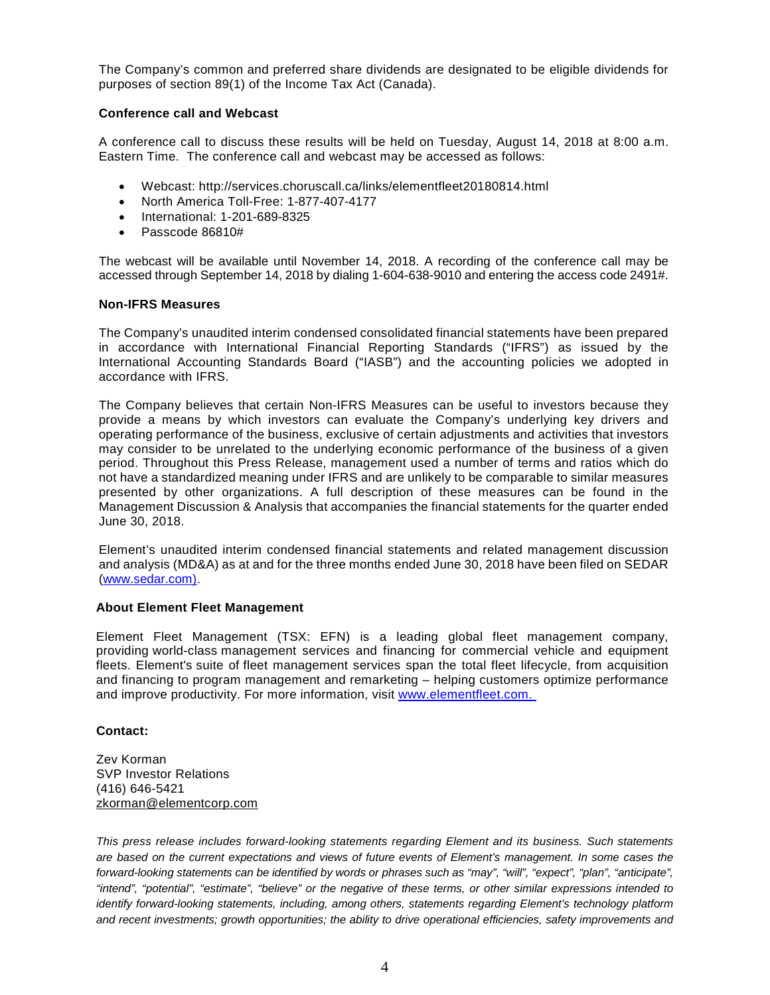The Company's common and preferred share dividends are designated to be eligible dividends for purposes of section 89(1) of the Income Tax Act (Canada).

# **Conference call and Webcast**

A conference call to discuss these results will be held on Tuesday, August 14, 2018 at 8:00 a.m. Eastern Time. The conference call and webcast may be accessed as follows:

- Webcast: http://services.choruscall.ca/links/elementfleet20180814.html
- North America Toll-Free: 1-877-407-4177
- International: 1-201-689-8325
- Passcode 86810#

The webcast will be available until November 14, 2018. A recording of the conference call may be accessed through September 14, 2018 by dialing 1-604-638-9010 and entering the access code 2491#.

#### **Non-IFRS Measures**

The Company's unaudited interim condensed consolidated financial statements have been prepared in accordance with International Financial Reporting Standards ("IFRS") as issued by the International Accounting Standards Board ("IASB") and the accounting policies we adopted in accordance with IFRS.

The Company believes that certain Non-IFRS Measures can be useful to investors because they provide a means by which investors can evaluate the Company's underlying key drivers and operating performance of the business, exclusive of certain adjustments and activities that investors may consider to be unrelated to the underlying economic performance of the business of a given period. Throughout this Press Release, management used a number of terms and ratios which do not have a standardized meaning under IFRS and are unlikely to be comparable to similar measures presented by other organizations. A full description of these measures can be found in the Management Discussion & Analysis that accompanies the financial statements for the quarter ended June 30, 2018.

Element's unaudited interim condensed financial statements and related management discussion and analysis (MD&A) as at and for the three months ended June 30, 2018 have been filed on SEDAR [\(www.sedar.com\).](http://www.sedar.com)/)

## **About Element Fleet Management**

Element Fleet Management (TSX: EFN) is a leading global fleet management company, providing world-class management services and financing for commercial vehicle and equipment fleets. Element's suite of fleet management services span the total fleet lifecycle, from acquisition and financing to program management and remarketing – helping customers optimize performance and improve productivity. For more information, visit www.elementfleet.com.

## **Contact:**

Zev Korman SVP Investor Relations (416) 646-5421 [zkorman@elementcorp.com](mailto:jsadler@elementcorp.com)

*This press release includes forward-looking statements regarding Element and its business. Such statements are based on the current expectations and views of future events of Element's management. In some cases the forward-looking statements can be identified by words or phrases such as "may", "will", "expect", "plan", "anticipate", "intend", "potential", "estimate", "believe" or the negative of these terms, or other similar expressions intended to identify forward-looking statements, including, among others, statements regarding Element's technology platform and recent investments; growth opportunities; the ability to drive operational efficiencies, safety improvements and*